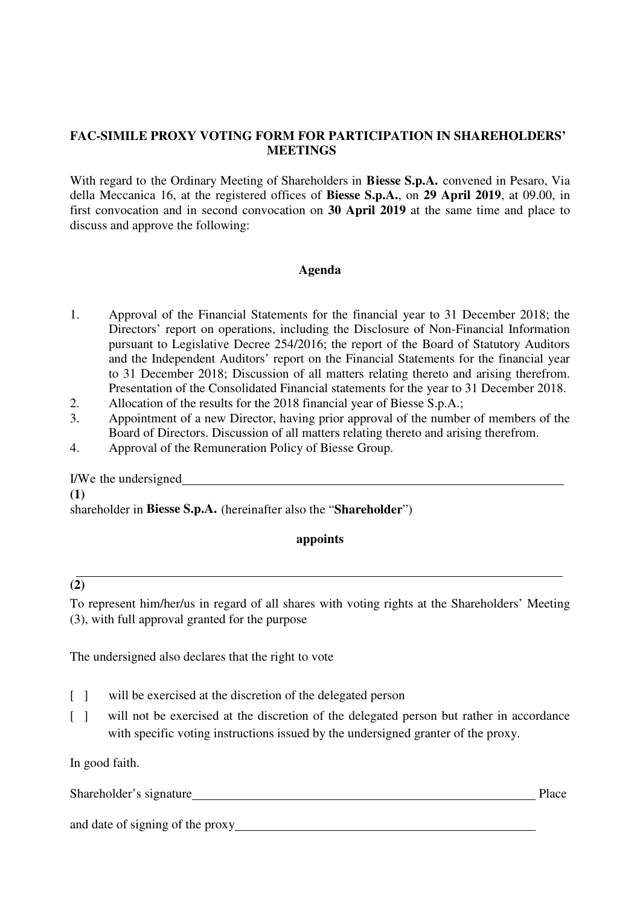# **FAC-SIMILE PROXY VOTING FORM FOR PARTICIPATION IN SHAREHOLDERS' MEETINGS**

With regard to the Ordinary Meeting of Shareholders in **Biesse S.p.A.** convened in Pesaro, Via della Meccanica 16, at the registered offices of **Biesse S.p.A.**, on **29 April 2019**, at 09.00, in first convocation and in second convocation on **30 April 2019** at the same time and place to discuss and approve the following:

## **Agenda**

- 1. Approval of the Financial Statements for the financial year to 31 December 2018; the Directors' report on operations, including the Disclosure of Non-Financial Information pursuant to Legislative Decree 254/2016; the report of the Board of Statutory Auditors and the Independent Auditors' report on the Financial Statements for the financial year to 31 December 2018; Discussion of all matters relating thereto and arising therefrom. Presentation of the Consolidated Financial statements for the year to 31 December 2018.
- 2. Allocation of the results for the 2018 financial year of Biesse S.p.A.;
- 3. Appointment of a new Director, having prior approval of the number of members of the Board of Directors. Discussion of all matters relating thereto and arising therefrom.
- 4. Approval of the Remuneration Policy of Biesse Group.

I/We the undersigned **(1)**  shareholder in **Biesse S.p.A.** (hereinafter also the "**Shareholder**")

## **appoints**

# **(2)**

To represent him/her/us in regard of all shares with voting rights at the Shareholders' Meeting (3), with full approval granted for the purpose

The undersigned also declares that the right to vote

- [ ] will be exercised at the discretion of the delegated person
- [ ] will not be exercised at the discretion of the delegated person but rather in accordance with specific voting instructions issued by the undersigned granter of the proxy.

In good faith.

Shareholder's signature example of the state of the state of the Place Place

and date of signing of the proxy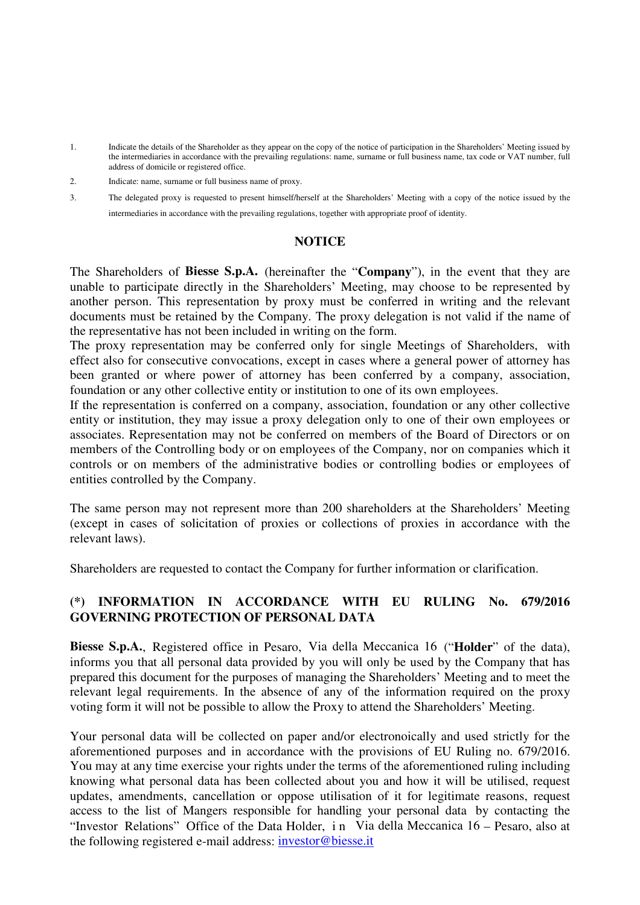- 1. Indicate the details of the Shareholder as they appear on the copy of the notice of participation in the Shareholders' Meeting issued by the intermediaries in accordance with the prevailing regulations: name, surname or full business name, tax code or VAT number, full address of domicile or registered office.
- 2. Indicate: name, surname or full business name of proxy.
- 3. The delegated proxy is requested to present himself/herself at the Shareholders' Meeting with a copy of the notice issued by the intermediaries in accordance with the prevailing regulations, together with appropriate proof of identity.

#### **NOTICE**

The Shareholders of **Biesse S.p.A.** (hereinafter the "**Company**"), in the event that they are unable to participate directly in the Shareholders' Meeting, may choose to be represented by another person. This representation by proxy must be conferred in writing and the relevant documents must be retained by the Company. The proxy delegation is not valid if the name of the representative has not been included in writing on the form.

The proxy representation may be conferred only for single Meetings of Shareholders, with effect also for consecutive convocations, except in cases where a general power of attorney has been granted or where power of attorney has been conferred by a company, association, foundation or any other collective entity or institution to one of its own employees.

If the representation is conferred on a company, association, foundation or any other collective entity or institution, they may issue a proxy delegation only to one of their own employees or associates. Representation may not be conferred on members of the Board of Directors or on members of the Controlling body or on employees of the Company, nor on companies which it controls or on members of the administrative bodies or controlling bodies or employees of entities controlled by the Company.

The same person may not represent more than 200 shareholders at the Shareholders' Meeting (except in cases of solicitation of proxies or collections of proxies in accordance with the relevant laws).

Shareholders are requested to contact the Company for further information or clarification.

# **(\*) INFORMATION IN ACCORDANCE WITH EU RULING No. 679/2016 GOVERNING PROTECTION OF PERSONAL DATA**

**Biesse S.p.A.**, Registered office in Pesaro, Via della Meccanica 16 ("**Holder**" of the data), informs you that all personal data provided by you will only be used by the Company that has prepared this document for the purposes of managing the Shareholders' Meeting and to meet the relevant legal requirements. In the absence of any of the information required on the proxy voting form it will not be possible to allow the Proxy to attend the Shareholders' Meeting.

Your personal data will be collected on paper and/or electronoically and used strictly for the aforementioned purposes and in accordance with the provisions of EU Ruling no. 679/2016. You may at any time exercise your rights under the terms of the aforementioned ruling including knowing what personal data has been collected about you and how it will be utilised, request updates, amendments, cancellation or oppose utilisation of it for legitimate reasons, request access to the list of Mangers responsible for handling your personal data by contacting the "Investor Relations" Office of the Data Holder, i n Via della Meccanica 16 – Pesaro, also at the following registered e-mail address: investor@biesse.it